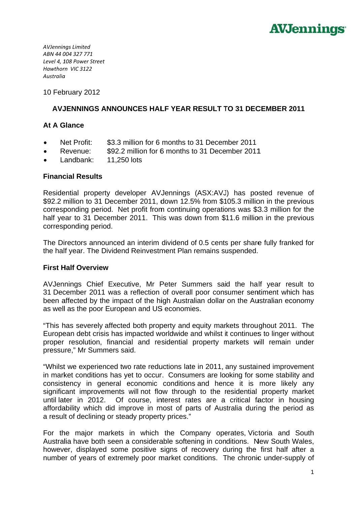

**AVJennings Limited** ABN 44 004 327 771 Level 4, 108 Power Street Hawthorn VIC 3122 Australia

10 February 2012

# **AVJENNINGS ANNOUNCES HALF YEAR RESULT TO 31 DECEMBER 2011**

## At A Glance

- Net Profit: \$3.3 million for 6 months to 31 December 2011
- \$92.2 million for 6 months to 31 December 2011 Revenue:  $\bullet$
- Landbank: 11,250 lots

### **Financial Results**

Residential property developer AVJennings (ASX:AVJ) has posted revenue of \$92.2 million to 31 December 2011, down 12.5% from \$105.3 million in the previous corresponding period. Net profit from continuing operations was \$3.3 million for the half year to 31 December 2011. This was down from \$11.6 million in the previous corresponding period.

The Directors announced an interim dividend of 0.5 cents per share fully franked for the half year. The Dividend Reinvestment Plan remains suspended.

### **First Half Overview**

AVJennings Chief Executive, Mr Peter Summers said the half year result to 31 December 2011 was a reflection of overall poor consumer sentiment which has been affected by the impact of the high Australian dollar on the Australian economy as well as the poor European and US economies.

"This has severely affected both property and equity markets throughout 2011. The European debt crisis has impacted worldwide and whilst it continues to linger without proper resolution, financial and residential property markets will remain under pressure," Mr Summers said.

"Whilst we experienced two rate reductions late in 2011, any sustained improvement in market conditions has yet to occur. Consumers are looking for some stability and consistency in general economic conditions and hence it is more likely any significant improvements will not flow through to the residential property market until later in 2012. Of course, interest rates are a critical factor in housing affordability which did improve in most of parts of Australia during the period as a result of declining or steady property prices."

For the major markets in which the Company operates, Victoria and South Australia have both seen a considerable softening in conditions. New South Wales, however, displayed some positive signs of recovery during the first half after a number of years of extremely poor market conditions. The chronic under-supply of